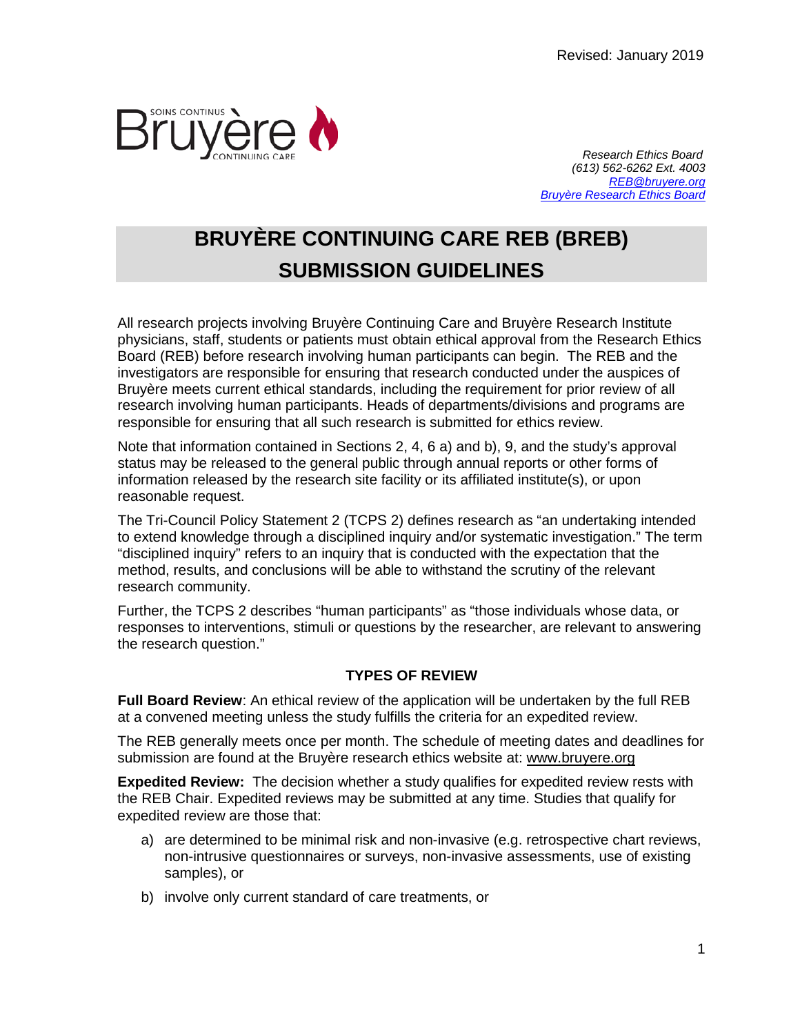

 *Research Ethics Board (613) 562-6262 Ext. 4003 [REB@bruyere.org](mailto:REB@bruyere.org) [Bruyère Research Ethics Board](https://www.bruyere.org/en/researchethicsboard)*

# **BRUYÈRE CONTINUING CARE REB (BREB) SUBMISSION GUIDELINES**

All research projects involving Bruyère Continuing Care and Bruyère Research Institute physicians, staff, students or patients must obtain ethical approval from the Research Ethics Board (REB) before research involving human participants can begin. The REB and the investigators are responsible for ensuring that research conducted under the auspices of Bruyère meets current ethical standards, including the requirement for prior review of all research involving human participants. Heads of departments/divisions and programs are responsible for ensuring that all such research is submitted for ethics review.

Note that information contained in Sections 2, 4, 6 a) and b), 9, and the study's approval status may be released to the general public through annual reports or other forms of information released by the research site facility or its affiliated institute(s), or upon reasonable request.

The Tri-Council Policy Statement 2 (TCPS 2) defines research as "an undertaking intended to extend knowledge through a disciplined inquiry and/or systematic investigation." The term "disciplined inquiry" refers to an inquiry that is conducted with the expectation that the method, results, and conclusions will be able to withstand the scrutiny of the relevant research community.

Further, the TCPS 2 describes "human participants" as "those individuals whose data, or responses to interventions, stimuli or questions by the researcher, are relevant to answering the research question."

# **TYPES OF REVIEW**

**Full Board Review**: An ethical review of the application will be undertaken by the full REB at a convened meeting unless the study fulfills the criteria for an expedited review.

The REB generally meets once per month. The schedule of meeting dates and deadlines for submission are found at the Bruyère research ethics website at: www.bruyere.org

**Expedited Review:** The decision whether a study qualifies for expedited review rests with the REB Chair. Expedited reviews may be submitted at any time. Studies that qualify for expedited review are those that:

- a) are determined to be minimal risk and non-invasive (e.g. retrospective chart reviews, non-intrusive questionnaires or surveys, non-invasive assessments, use of existing samples), or
- b) involve only current standard of care treatments, or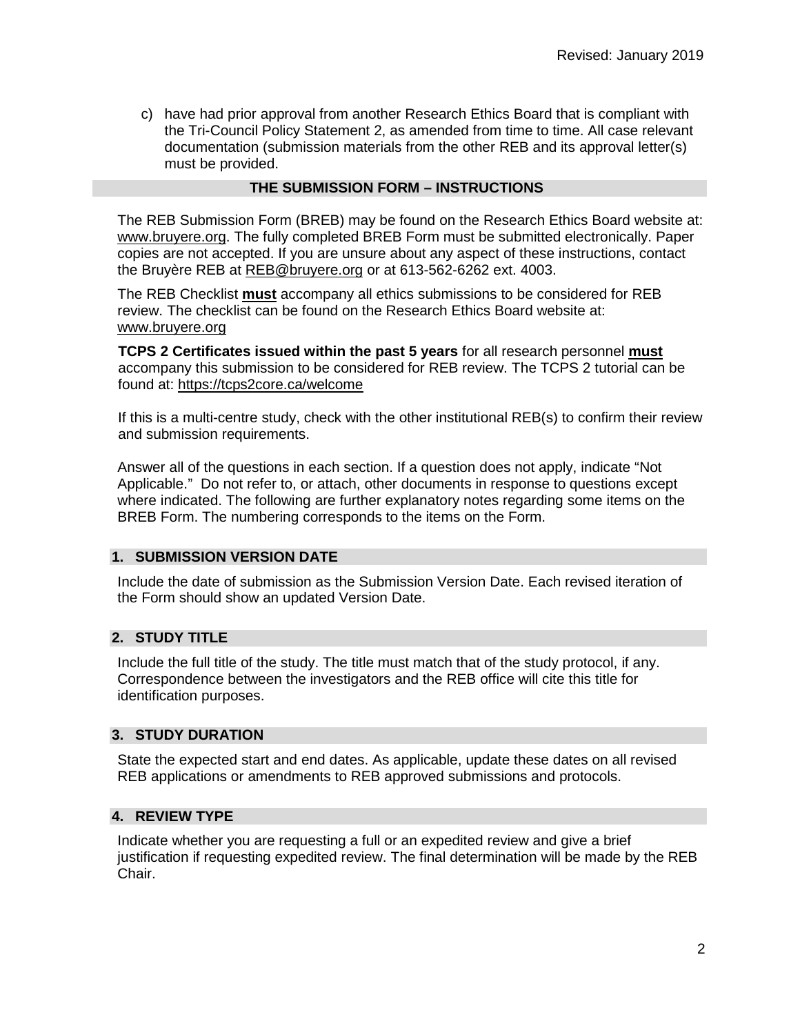c) have had prior approval from another Research Ethics Board that is compliant with the Tri-Council Policy Statement 2, as amended from time to time. All case relevant documentation (submission materials from the other REB and its approval letter(s) must be provided.

# **THE SUBMISSION FORM – INSTRUCTIONS**

The REB Submission Form (BREB) may be found on the Research Ethics Board website at: www.bruyere.org. The fully completed BREB Form must be submitted electronically. Paper copies are not accepted. If you are unsure about any aspect of these instructions, contact the Bruyère REB at [REB@bruyere.org](mailto:REB@bruyere.org) or at 613-562-6262 ext. 4003.

The REB Checklist **must** accompany all ethics submissions to be considered for REB review. The checklist can be found on the Research Ethics Board website at: [www.bruyere.org](http://www.bruyere.org/)

 **TCPS 2 Certificates issued within the past 5 years** for all research personnel **must** accompany this submission to be considered for REB review. The TCPS 2 tutorial can be found at: https://tcps2core.ca/welcome

 If this is a multi-centre study, check with the other institutional REB(s) to confirm their review and submission requirements.

Answer all of the questions in each section. If a question does not apply, indicate "Not Applicable." Do not refer to, or attach, other documents in response to questions except where indicated. The following are further explanatory notes regarding some items on the BREB Form. The numbering corresponds to the items on the Form.

# **1. SUBMISSION VERSION DATE**

Include the date of submission as the Submission Version Date. Each revised iteration of the Form should show an updated Version Date.

## **2. STUDY TITLE**

Include the full title of the study. The title must match that of the study protocol, if any. Correspondence between the investigators and the REB office will cite this title for identification purposes.

## **3. STUDY DURATION**

State the expected start and end dates. As applicable, update these dates on all revised REB applications or amendments to REB approved submissions and protocols.

# **4. REVIEW TYPE**

Indicate whether you are requesting a full or an expedited review and give a brief justification if requesting expedited review. The final determination will be made by the REB Chair.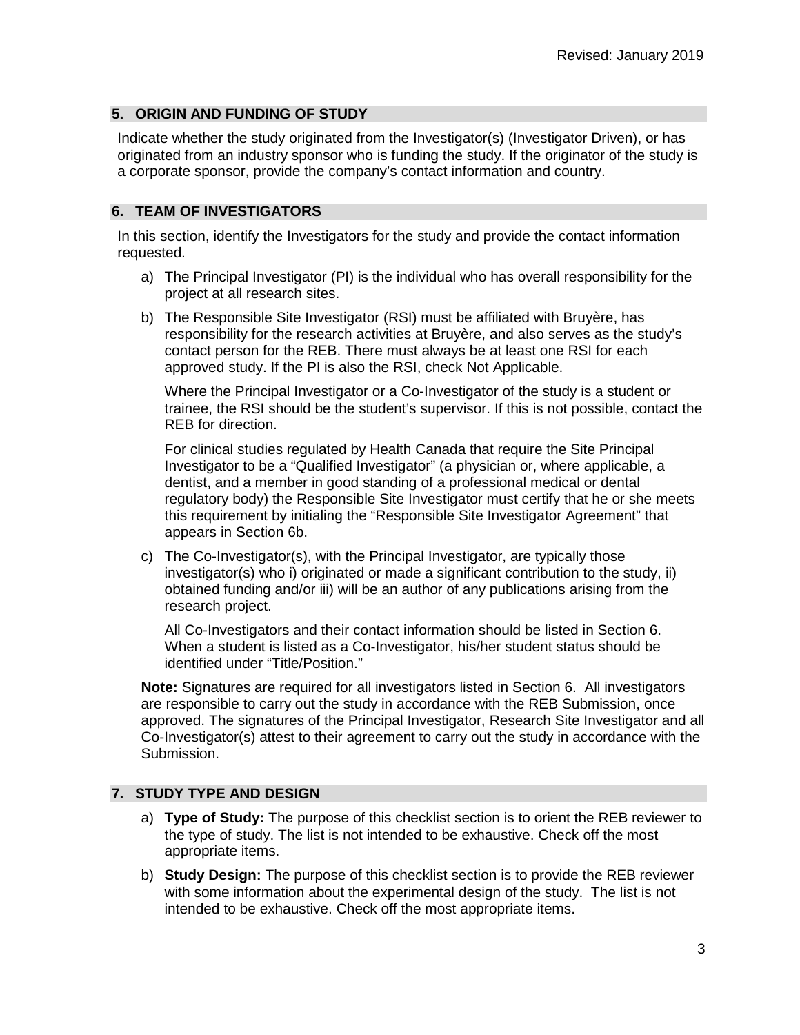# **5. ORIGIN AND FUNDING OF STUDY**

Indicate whether the study originated from the Investigator(s) (Investigator Driven), or has originated from an industry sponsor who is funding the study. If the originator of the study is a corporate sponsor, provide the company's contact information and country.

# **6. TEAM OF INVESTIGATORS**

In this section, identify the Investigators for the study and provide the contact information requested.

- a) The Principal Investigator (PI) is the individual who has overall responsibility for the project at all research sites.
- b) The Responsible Site Investigator (RSI) must be affiliated with Bruyère, has responsibility for the research activities at Bruyère, and also serves as the study's contact person for the REB. There must always be at least one RSI for each approved study. If the PI is also the RSI, check Not Applicable.

Where the Principal Investigator or a Co-Investigator of the study is a student or trainee, the RSI should be the student's supervisor. If this is not possible, contact the REB for direction.

For clinical studies regulated by Health Canada that require the Site Principal Investigator to be a "Qualified Investigator" (a physician or, where applicable, a dentist, and a member in good standing of a professional medical or dental regulatory body) the Responsible Site Investigator must certify that he or she meets this requirement by initialing the "Responsible Site Investigator Agreement" that appears in Section 6b.

c) The Co-Investigator(s), with the Principal Investigator, are typically those investigator(s) who i) originated or made a significant contribution to the study, ii) obtained funding and/or iii) will be an author of any publications arising from the research project.

All Co-Investigators and their contact information should be listed in Section 6. When a student is listed as a Co-Investigator, his/her student status should be identified under "Title/Position."

**Note:** Signatures are required for all investigators listed in Section 6. All investigators are responsible to carry out the study in accordance with the REB Submission, once approved. The signatures of the Principal Investigator, Research Site Investigator and all Co-Investigator(s) attest to their agreement to carry out the study in accordance with the Submission.

# **7. STUDY TYPE AND DESIGN**

- a) **Type of Study:** The purpose of this checklist section is to orient the REB reviewer to the type of study. The list is not intended to be exhaustive. Check off the most appropriate items.
- b) **Study Design:** The purpose of this checklist section is to provide the REB reviewer with some information about the experimental design of the study. The list is not intended to be exhaustive. Check off the most appropriate items.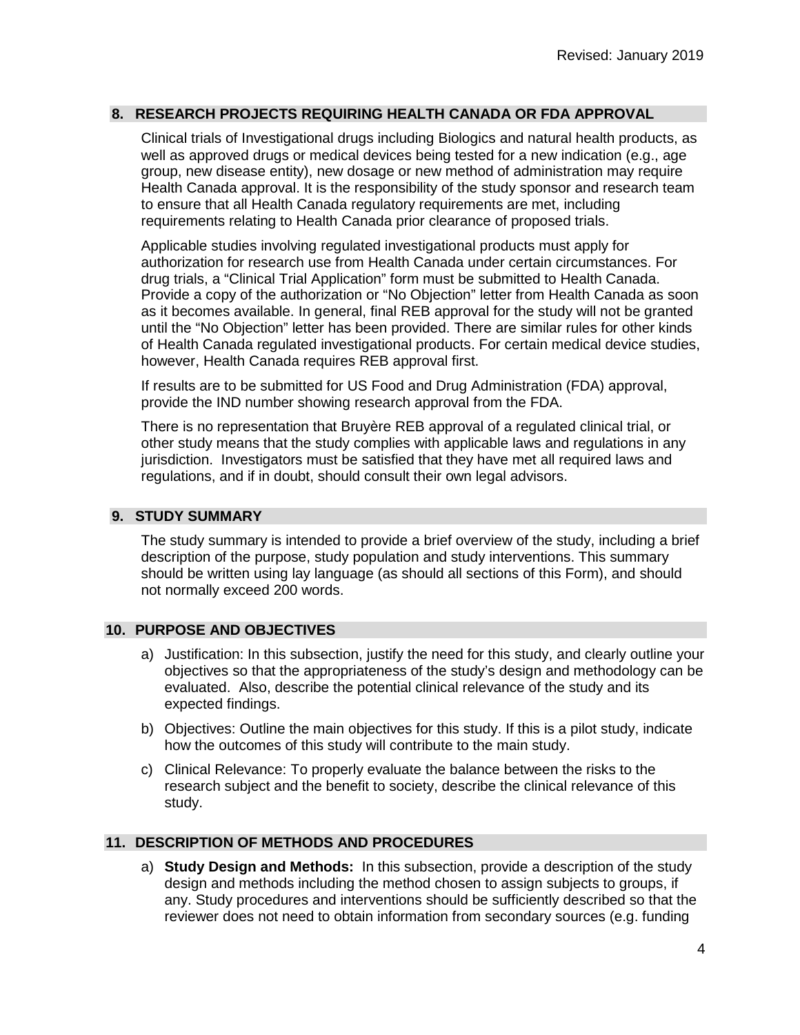# **8. RESEARCH PROJECTS REQUIRING HEALTH CANADA OR FDA APPROVAL**

Clinical trials of Investigational drugs including Biologics and natural health products, as well as approved drugs or medical devices being tested for a new indication (e.g., age group, new disease entity), new dosage or new method of administration may require Health Canada approval. It is the responsibility of the study sponsor and research team to ensure that all Health Canada regulatory requirements are met, including requirements relating to Health Canada prior clearance of proposed trials.

Applicable studies involving regulated investigational products must apply for authorization for research use from Health Canada under certain circumstances. For drug trials, a "Clinical Trial Application" form must be submitted to Health Canada. Provide a copy of the authorization or "No Objection" letter from Health Canada as soon as it becomes available. In general, final REB approval for the study will not be granted until the "No Objection" letter has been provided. There are similar rules for other kinds of Health Canada regulated investigational products. For certain medical device studies, however, Health Canada requires REB approval first.

If results are to be submitted for US Food and Drug Administration (FDA) approval, provide the IND number showing research approval from the FDA.

There is no representation that Bruyère REB approval of a regulated clinical trial, or other study means that the study complies with applicable laws and regulations in any jurisdiction. Investigators must be satisfied that they have met all required laws and regulations, and if in doubt, should consult their own legal advisors.

# **9. STUDY SUMMARY**

The study summary is intended to provide a brief overview of the study, including a brief description of the purpose, study population and study interventions. This summary should be written using lay language (as should all sections of this Form), and should not normally exceed 200 words.

## **10. PURPOSE AND OBJECTIVES**

- a) Justification: In this subsection, justify the need for this study, and clearly outline your objectives so that the appropriateness of the study's design and methodology can be evaluated. Also, describe the potential clinical relevance of the study and its expected findings.
- b) Objectives: Outline the main objectives for this study. If this is a pilot study, indicate how the outcomes of this study will contribute to the main study.
- c) Clinical Relevance: To properly evaluate the balance between the risks to the research subject and the benefit to society, describe the clinical relevance of this study.

## **11. DESCRIPTION OF METHODS AND PROCEDURES**

a) **Study Design and Methods:** In this subsection, provide a description of the study design and methods including the method chosen to assign subjects to groups, if any. Study procedures and interventions should be sufficiently described so that the reviewer does not need to obtain information from secondary sources (e.g. funding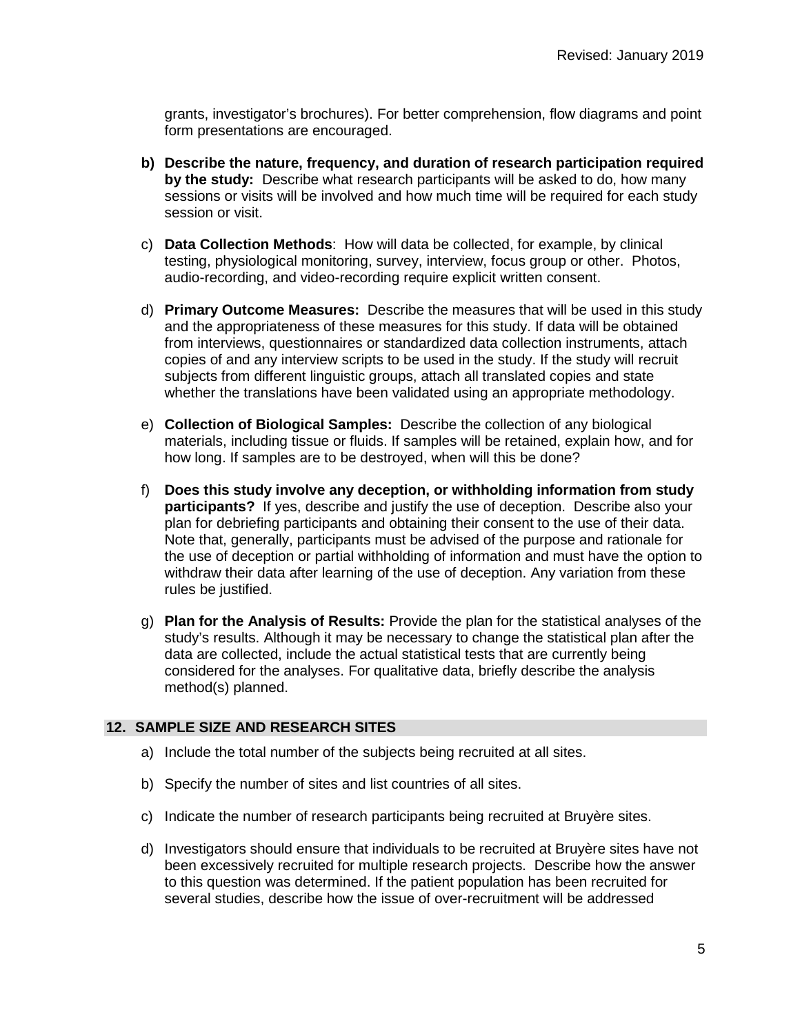grants, investigator's brochures). For better comprehension, flow diagrams and point form presentations are encouraged.

- **b) Describe the nature, frequency, and duration of research participation required by the study:** Describe what research participants will be asked to do, how many sessions or visits will be involved and how much time will be required for each study session or visit.
- c) **Data Collection Methods**: How will data be collected, for example, by clinical testing, physiological monitoring, survey, interview, focus group or other. Photos, audio-recording, and video-recording require explicit written consent.
- d) **Primary Outcome Measures:** Describe the measures that will be used in this study and the appropriateness of these measures for this study. If data will be obtained from interviews, questionnaires or standardized data collection instruments, attach copies of and any interview scripts to be used in the study. If the study will recruit subjects from different linguistic groups, attach all translated copies and state whether the translations have been validated using an appropriate methodology.
- e) **Collection of Biological Samples:** Describe the collection of any biological materials, including tissue or fluids. If samples will be retained, explain how, and for how long. If samples are to be destroyed, when will this be done?
- f) **Does this study involve any deception, or withholding information from study participants?** If yes, describe and justify the use of deception. Describe also your plan for debriefing participants and obtaining their consent to the use of their data. Note that, generally, participants must be advised of the purpose and rationale for the use of deception or partial withholding of information and must have the option to withdraw their data after learning of the use of deception. Any variation from these rules be justified.
- g) **Plan for the Analysis of Results:** Provide the plan for the statistical analyses of the study's results. Although it may be necessary to change the statistical plan after the data are collected, include the actual statistical tests that are currently being considered for the analyses. For qualitative data, briefly describe the analysis method(s) planned.

## **12. SAMPLE SIZE AND RESEARCH SITES**

- a) Include the total number of the subjects being recruited at all sites.
- b) Specify the number of sites and list countries of all sites.
- c) Indicate the number of research participants being recruited at Bruyère sites.
- d) Investigators should ensure that individuals to be recruited at Bruyère sites have not been excessively recruited for multiple research projects. Describe how the answer to this question was determined. If the patient population has been recruited for several studies, describe how the issue of over-recruitment will be addressed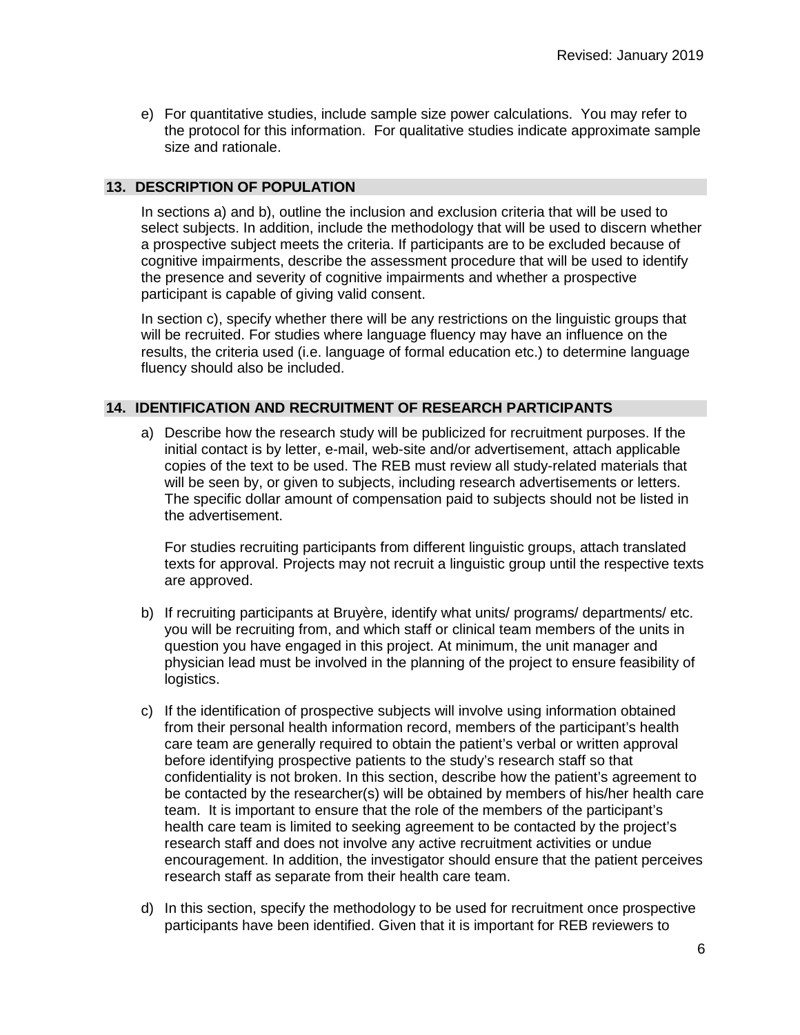e) For quantitative studies, include sample size power calculations. You may refer to the protocol for this information. For qualitative studies indicate approximate sample size and rationale.

# **13. DESCRIPTION OF POPULATION**

In sections a) and b), outline the inclusion and exclusion criteria that will be used to select subjects. In addition, include the methodology that will be used to discern whether a prospective subject meets the criteria. If participants are to be excluded because of cognitive impairments, describe the assessment procedure that will be used to identify the presence and severity of cognitive impairments and whether a prospective participant is capable of giving valid consent.

In section c), specify whether there will be any restrictions on the linguistic groups that will be recruited. For studies where language fluency may have an influence on the results, the criteria used (i.e. language of formal education etc.) to determine language fluency should also be included.

# **14. IDENTIFICATION AND RECRUITMENT OF RESEARCH PARTICIPANTS**

a) Describe how the research study will be publicized for recruitment purposes. If the initial contact is by letter, e-mail, web-site and/or advertisement, attach applicable copies of the text to be used. The REB must review all study-related materials that will be seen by, or given to subjects, including research advertisements or letters. The specific dollar amount of compensation paid to subjects should not be listed in the advertisement.

For studies recruiting participants from different linguistic groups, attach translated texts for approval. Projects may not recruit a linguistic group until the respective texts are approved.

- b) If recruiting participants at Bruyère, identify what units/ programs/ departments/ etc. you will be recruiting from, and which staff or clinical team members of the units in question you have engaged in this project. At minimum, the unit manager and physician lead must be involved in the planning of the project to ensure feasibility of logistics.
- c) If the identification of prospective subjects will involve using information obtained from their personal health information record, members of the participant's health care team are generally required to obtain the patient's verbal or written approval before identifying prospective patients to the study's research staff so that confidentiality is not broken. In this section, describe how the patient's agreement to be contacted by the researcher(s) will be obtained by members of his/her health care team. It is important to ensure that the role of the members of the participant's health care team is limited to seeking agreement to be contacted by the project's research staff and does not involve any active recruitment activities or undue encouragement. In addition, the investigator should ensure that the patient perceives research staff as separate from their health care team.
- d) In this section, specify the methodology to be used for recruitment once prospective participants have been identified. Given that it is important for REB reviewers to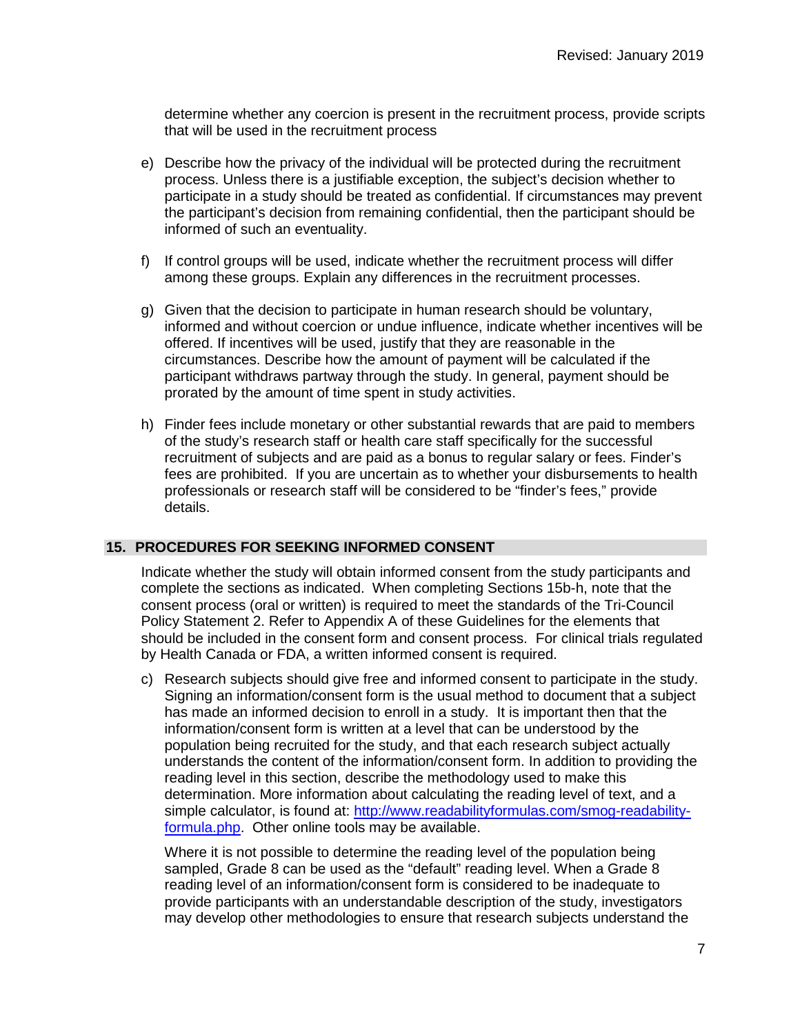determine whether any coercion is present in the recruitment process, provide scripts that will be used in the recruitment process

- e) Describe how the privacy of the individual will be protected during the recruitment process. Unless there is a justifiable exception, the subject's decision whether to participate in a study should be treated as confidential. If circumstances may prevent the participant's decision from remaining confidential, then the participant should be informed of such an eventuality.
- f) If control groups will be used, indicate whether the recruitment process will differ among these groups. Explain any differences in the recruitment processes.
- g) Given that the decision to participate in human research should be voluntary, informed and without coercion or undue influence, indicate whether incentives will be offered. If incentives will be used, justify that they are reasonable in the circumstances. Describe how the amount of payment will be calculated if the participant withdraws partway through the study. In general, payment should be prorated by the amount of time spent in study activities.
- h) Finder fees include monetary or other substantial rewards that are paid to members of the study's research staff or health care staff specifically for the successful recruitment of subjects and are paid as a bonus to regular salary or fees. Finder's fees are prohibited. If you are uncertain as to whether your disbursements to health professionals or research staff will be considered to be "finder's fees," provide details.

## **15. PROCEDURES FOR SEEKING INFORMED CONSENT**

Indicate whether the study will obtain informed consent from the study participants and complete the sections as indicated. When completing Sections 15b-h, note that the consent process (oral or written) is required to meet the standards of the Tri-Council Policy Statement 2. Refer to Appendix A of these Guidelines for the elements that should be included in the consent form and consent process. For clinical trials regulated by Health Canada or FDA, a written informed consent is required.

c) Research subjects should give free and informed consent to participate in the study. Signing an information/consent form is the usual method to document that a subject has made an informed decision to enroll in a study. It is important then that the information/consent form is written at a level that can be understood by the population being recruited for the study, and that each research subject actually understands the content of the information/consent form. In addition to providing the reading level in this section, describe the methodology used to make this determination. More information about calculating the reading level of text, and a simple calculator, is found at: [http://www.readabilityformulas.com/smog-readability](http://www.readabilityformulas.com/smog-readability-formula.php)[formula.php.](http://www.readabilityformulas.com/smog-readability-formula.php) Other online tools may be available.

Where it is not possible to determine the reading level of the population being sampled, Grade 8 can be used as the "default" reading level. When a Grade 8 reading level of an information/consent form is considered to be inadequate to provide participants with an understandable description of the study, investigators may develop other methodologies to ensure that research subjects understand the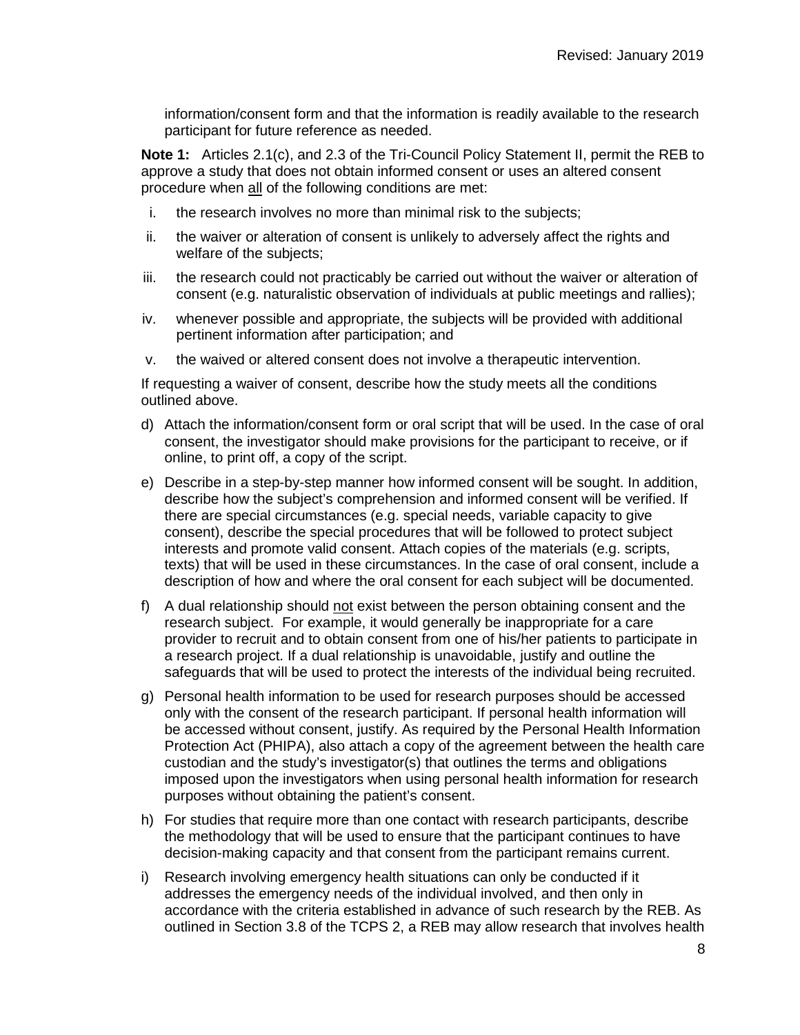information/consent form and that the information is readily available to the research participant for future reference as needed.

**Note 1:** Articles 2.1(c), and 2.3 of the Tri-Council Policy Statement II, permit the REB to approve a study that does not obtain informed consent or uses an altered consent procedure when all of the following conditions are met:

- i. the research involves no more than minimal risk to the subjects;
- ii. the waiver or alteration of consent is unlikely to adversely affect the rights and welfare of the subjects;
- iii. the research could not practicably be carried out without the waiver or alteration of consent (e.g. naturalistic observation of individuals at public meetings and rallies);
- iv. whenever possible and appropriate, the subjects will be provided with additional pertinent information after participation; and
- v. the waived or altered consent does not involve a therapeutic intervention.

If requesting a waiver of consent, describe how the study meets all the conditions outlined above.

- d) Attach the information/consent form or oral script that will be used. In the case of oral consent, the investigator should make provisions for the participant to receive, or if online, to print off, a copy of the script.
- e) Describe in a step-by-step manner how informed consent will be sought. In addition, describe how the subject's comprehension and informed consent will be verified. If there are special circumstances (e.g. special needs, variable capacity to give consent), describe the special procedures that will be followed to protect subject interests and promote valid consent. Attach copies of the materials (e.g. scripts, texts) that will be used in these circumstances. In the case of oral consent, include a description of how and where the oral consent for each subject will be documented.
- f) A dual relationship should not exist between the person obtaining consent and the research subject. For example, it would generally be inappropriate for a care provider to recruit and to obtain consent from one of his/her patients to participate in a research project. If a dual relationship is unavoidable, justify and outline the safeguards that will be used to protect the interests of the individual being recruited.
- g) Personal health information to be used for research purposes should be accessed only with the consent of the research participant. If personal health information will be accessed without consent, justify. As required by the Personal Health Information Protection Act (PHIPA), also attach a copy of the agreement between the health care custodian and the study's investigator(s) that outlines the terms and obligations imposed upon the investigators when using personal health information for research purposes without obtaining the patient's consent.
- h) For studies that require more than one contact with research participants, describe the methodology that will be used to ensure that the participant continues to have decision-making capacity and that consent from the participant remains current.
- i) Research involving emergency health situations can only be conducted if it addresses the emergency needs of the individual involved, and then only in accordance with the criteria established in advance of such research by the REB. As outlined in Section 3.8 of the TCPS 2, a REB may allow research that involves health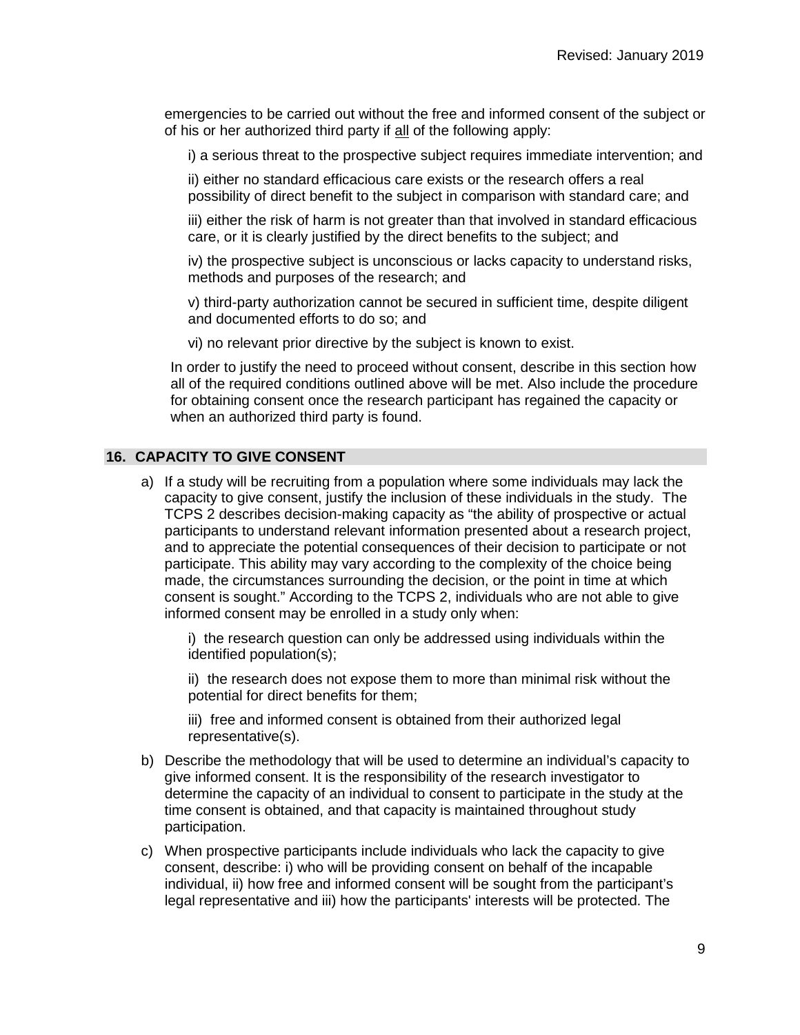emergencies to be carried out without the free and informed consent of the subject or of his or her authorized third party if all of the following apply:

i) a serious threat to the prospective subject requires immediate intervention; and

ii) either no standard efficacious care exists or the research offers a real possibility of direct benefit to the subject in comparison with standard care; and

iii) either the risk of harm is not greater than that involved in standard efficacious care, or it is clearly justified by the direct benefits to the subject; and

iv) the prospective subject is unconscious or lacks capacity to understand risks, methods and purposes of the research; and

v) third-party authorization cannot be secured in sufficient time, despite diligent and documented efforts to do so; and

vi) no relevant prior directive by the subject is known to exist.

In order to justify the need to proceed without consent, describe in this section how all of the required conditions outlined above will be met. Also include the procedure for obtaining consent once the research participant has regained the capacity or when an authorized third party is found.

#### **16. CAPACITY TO GIVE CONSENT**

a) If a study will be recruiting from a population where some individuals may lack the capacity to give consent, justify the inclusion of these individuals in the study. The TCPS 2 describes decision-making capacity as "the ability of prospective or actual participants to understand relevant information presented about a research project, and to appreciate the potential consequences of their decision to participate or not participate. This ability may vary according to the complexity of the choice being made, the circumstances surrounding the decision, or the point in time at which consent is sought." According to the TCPS 2, individuals who are not able to give informed consent may be enrolled in a study only when:

i) the research question can only be addressed using individuals within the identified population(s);

ii) the research does not expose them to more than minimal risk without the potential for direct benefits for them;

iii) free and informed consent is obtained from their authorized legal representative(s).

- b) Describe the methodology that will be used to determine an individual's capacity to give informed consent. It is the responsibility of the research investigator to determine the capacity of an individual to consent to participate in the study at the time consent is obtained, and that capacity is maintained throughout study participation.
- c) When prospective participants include individuals who lack the capacity to give consent, describe: i) who will be providing consent on behalf of the incapable individual, ii) how free and informed consent will be sought from the participant's legal representative and iii) how the participants' interests will be protected. The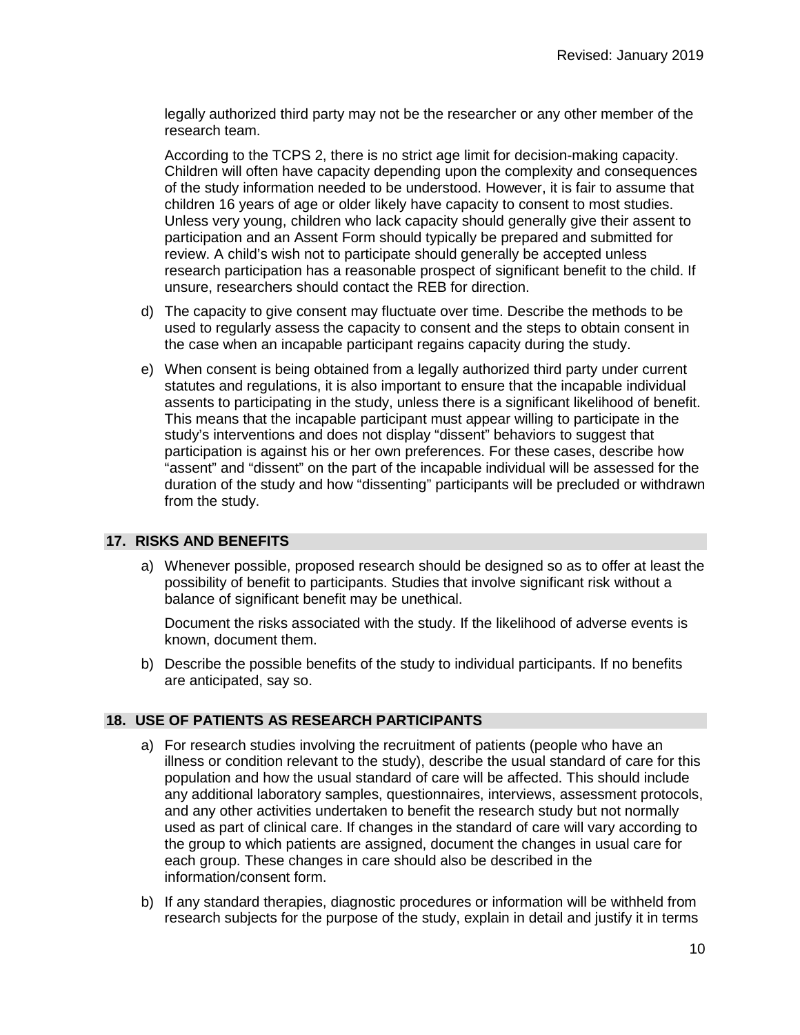legally authorized third party may not be the researcher or any other member of the research team.

According to the TCPS 2, there is no strict age limit for decision-making capacity. Children will often have capacity depending upon the complexity and consequences of the study information needed to be understood. However, it is fair to assume that children 16 years of age or older likely have capacity to consent to most studies. Unless very young, children who lack capacity should generally give their assent to participation and an Assent Form should typically be prepared and submitted for review. A child's wish not to participate should generally be accepted unless research participation has a reasonable prospect of significant benefit to the child. If unsure, researchers should contact the REB for direction.

- d) The capacity to give consent may fluctuate over time. Describe the methods to be used to regularly assess the capacity to consent and the steps to obtain consent in the case when an incapable participant regains capacity during the study.
- e) When consent is being obtained from a legally authorized third party under current statutes and regulations, it is also important to ensure that the incapable individual assents to participating in the study, unless there is a significant likelihood of benefit. This means that the incapable participant must appear willing to participate in the study's interventions and does not display "dissent" behaviors to suggest that participation is against his or her own preferences. For these cases, describe how "assent" and "dissent" on the part of the incapable individual will be assessed for the duration of the study and how "dissenting" participants will be precluded or withdrawn from the study.

# **17. RISKS AND BENEFITS**

a) Whenever possible, proposed research should be designed so as to offer at least the possibility of benefit to participants. Studies that involve significant risk without a balance of significant benefit may be unethical.

Document the risks associated with the study. If the likelihood of adverse events is known, document them.

b) Describe the possible benefits of the study to individual participants. If no benefits are anticipated, say so.

# **18. USE OF PATIENTS AS RESEARCH PARTICIPANTS**

- a) For research studies involving the recruitment of patients (people who have an illness or condition relevant to the study), describe the usual standard of care for this population and how the usual standard of care will be affected. This should include any additional laboratory samples, questionnaires, interviews, assessment protocols, and any other activities undertaken to benefit the research study but not normally used as part of clinical care. If changes in the standard of care will vary according to the group to which patients are assigned, document the changes in usual care for each group. These changes in care should also be described in the information/consent form.
- b) If any standard therapies, diagnostic procedures or information will be withheld from research subjects for the purpose of the study, explain in detail and justify it in terms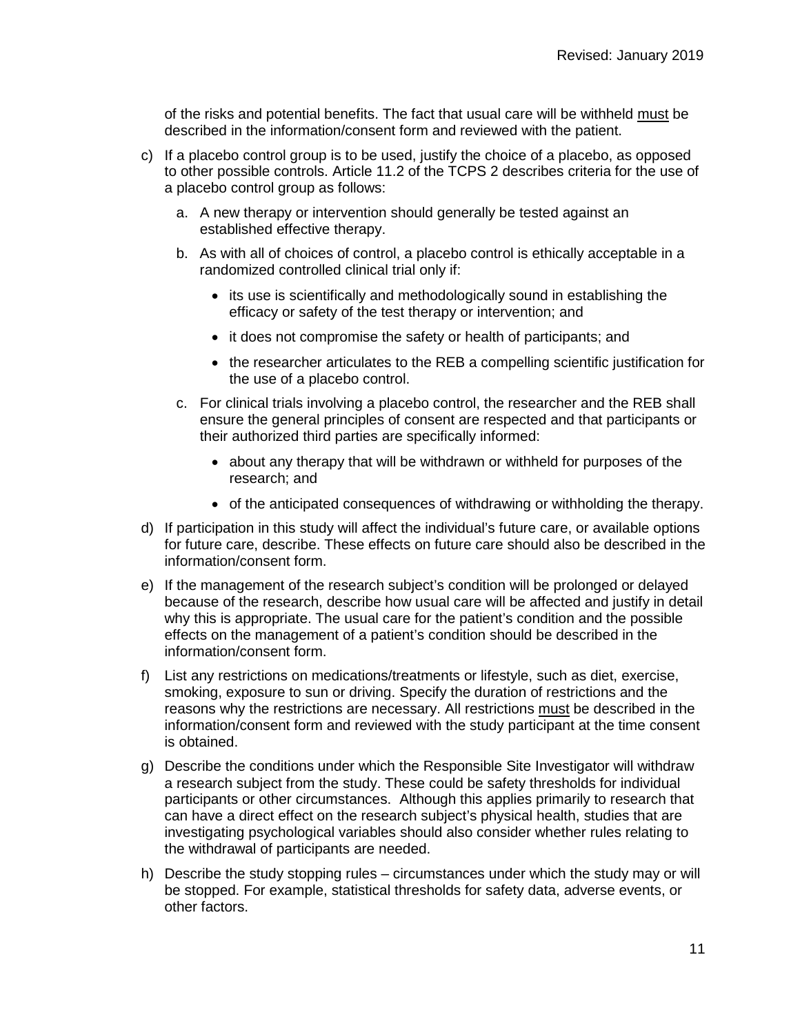of the risks and potential benefits. The fact that usual care will be withheld must be described in the information/consent form and reviewed with the patient.

- c) If a placebo control group is to be used, justify the choice of a placebo, as opposed to other possible controls. Article 11.2 of the TCPS 2 describes criteria for the use of a placebo control group as follows:
	- a. A new therapy or intervention should generally be tested against an established effective therapy.
	- b. As with all of choices of control, a placebo control is ethically acceptable in a randomized controlled clinical trial only if:
		- its use is scientifically and methodologically sound in establishing the efficacy or safety of the test therapy or intervention; and
		- it does not compromise the safety or health of participants; and
		- the researcher articulates to the REB a compelling scientific justification for the use of a placebo control.
	- c. For clinical trials involving a placebo control, the researcher and the REB shall ensure the general principles of consent are respected and that participants or their authorized third parties are specifically informed:
		- about any therapy that will be withdrawn or withheld for purposes of the research; and
		- of the anticipated consequences of withdrawing or withholding the therapy.
- d) If participation in this study will affect the individual's future care, or available options for future care, describe. These effects on future care should also be described in the information/consent form.
- e) If the management of the research subject's condition will be prolonged or delayed because of the research, describe how usual care will be affected and justify in detail why this is appropriate. The usual care for the patient's condition and the possible effects on the management of a patient's condition should be described in the information/consent form.
- f) List any restrictions on medications/treatments or lifestyle, such as diet, exercise, smoking, exposure to sun or driving. Specify the duration of restrictions and the reasons why the restrictions are necessary. All restrictions must be described in the information/consent form and reviewed with the study participant at the time consent is obtained.
- g) Describe the conditions under which the Responsible Site Investigator will withdraw a research subject from the study. These could be safety thresholds for individual participants or other circumstances. Although this applies primarily to research that can have a direct effect on the research subject's physical health, studies that are investigating psychological variables should also consider whether rules relating to the withdrawal of participants are needed.
- h) Describe the study stopping rules circumstances under which the study may or will be stopped. For example, statistical thresholds for safety data, adverse events, or other factors.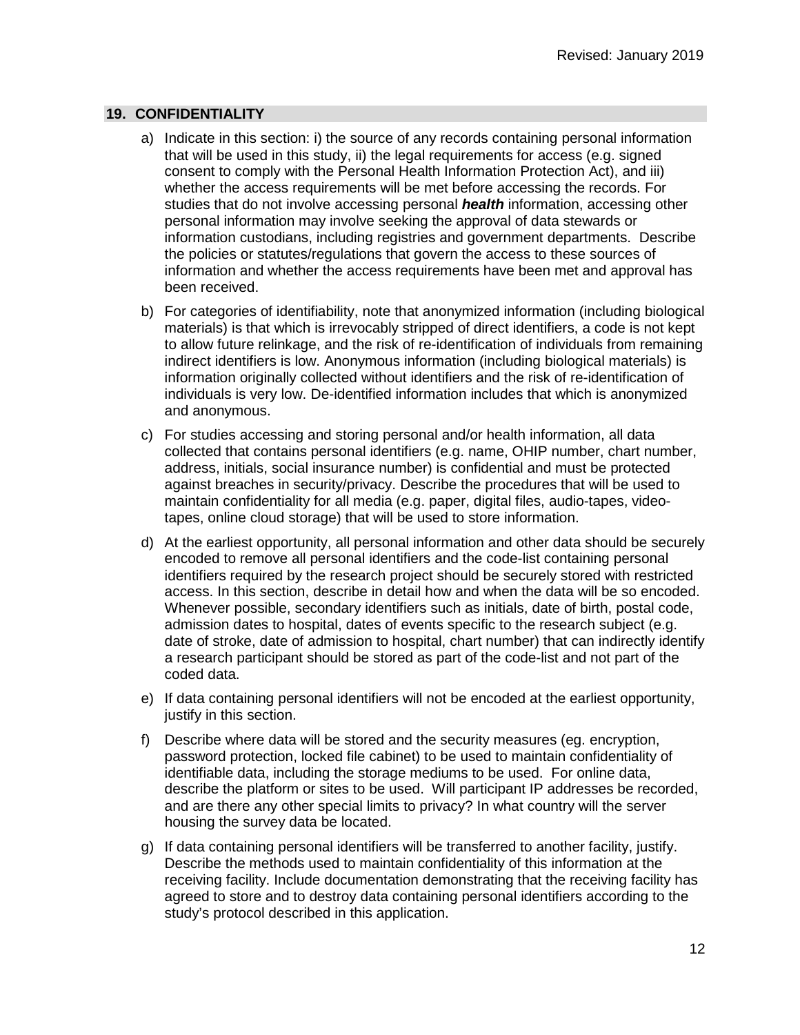## **19. CONFIDENTIALITY**

- a) Indicate in this section: i) the source of any records containing personal information that will be used in this study, ii) the legal requirements for access (e.g. signed consent to comply with the Personal Health Information Protection Act), and iii) whether the access requirements will be met before accessing the records. For studies that do not involve accessing personal *health* information, accessing other personal information may involve seeking the approval of data stewards or information custodians, including registries and government departments. Describe the policies or statutes/regulations that govern the access to these sources of information and whether the access requirements have been met and approval has been received.
- b) For categories of identifiability, note that anonymized information (including biological materials) is that which is irrevocably stripped of direct identifiers, a code is not kept to allow future relinkage, and the risk of re-identification of individuals from remaining indirect identifiers is low. Anonymous information (including biological materials) is information originally collected without identifiers and the risk of re-identification of individuals is very low. De-identified information includes that which is anonymized and anonymous.
- c) For studies accessing and storing personal and/or health information, all data collected that contains personal identifiers (e.g. name, OHIP number, chart number, address, initials, social insurance number) is confidential and must be protected against breaches in security/privacy. Describe the procedures that will be used to maintain confidentiality for all media (e.g. paper, digital files, audio-tapes, videotapes, online cloud storage) that will be used to store information.
- d) At the earliest opportunity, all personal information and other data should be securely encoded to remove all personal identifiers and the code-list containing personal identifiers required by the research project should be securely stored with restricted access. In this section, describe in detail how and when the data will be so encoded. Whenever possible, secondary identifiers such as initials, date of birth, postal code, admission dates to hospital, dates of events specific to the research subject (e.g. date of stroke, date of admission to hospital, chart number) that can indirectly identify a research participant should be stored as part of the code-list and not part of the coded data.
- e) If data containing personal identifiers will not be encoded at the earliest opportunity, justify in this section.
- f) Describe where data will be stored and the security measures (eg. encryption, password protection, locked file cabinet) to be used to maintain confidentiality of identifiable data, including the storage mediums to be used. For online data, describe the platform or sites to be used. Will participant IP addresses be recorded, and are there any other special limits to privacy? In what country will the server housing the survey data be located.
- g) If data containing personal identifiers will be transferred to another facility, justify. Describe the methods used to maintain confidentiality of this information at the receiving facility. Include documentation demonstrating that the receiving facility has agreed to store and to destroy data containing personal identifiers according to the study's protocol described in this application.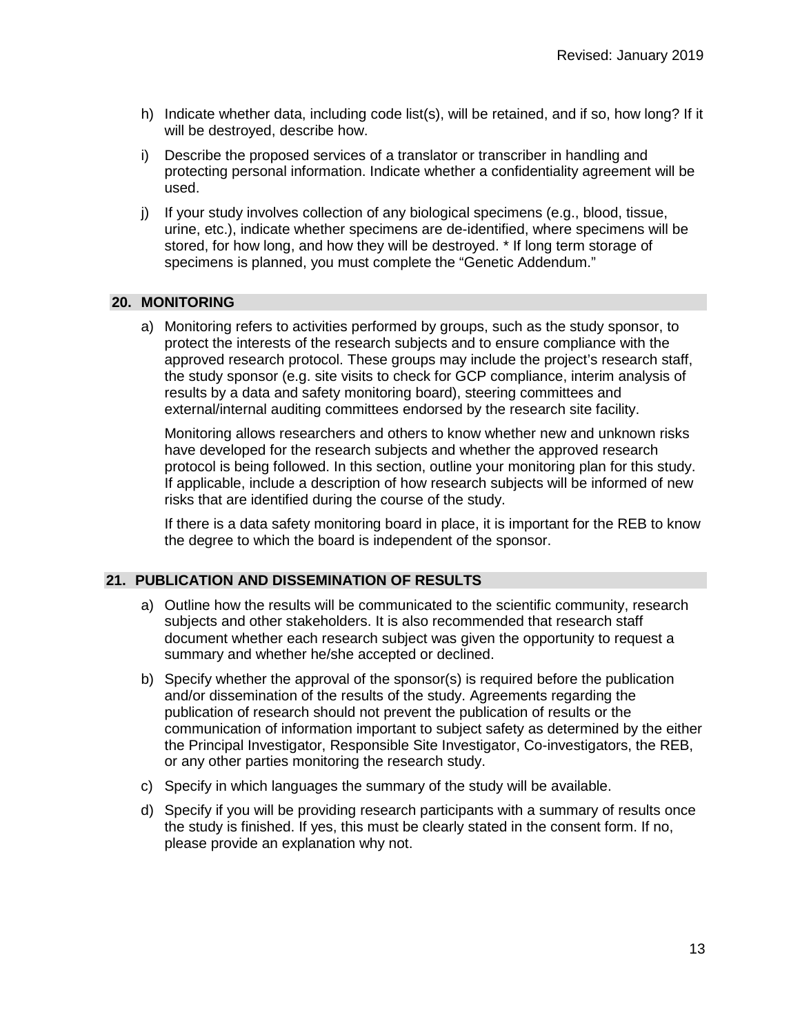- h) Indicate whether data, including code list(s), will be retained, and if so, how long? If it will be destroyed, describe how.
- i) Describe the proposed services of a translator or transcriber in handling and protecting personal information. Indicate whether a confidentiality agreement will be used.
- j) If your study involves collection of any biological specimens (e.g., blood, tissue, urine, etc.), indicate whether specimens are de-identified, where specimens will be stored, for how long, and how they will be destroyed. \* If long term storage of specimens is planned, you must complete the "Genetic Addendum."

# **20. MONITORING**

a) Monitoring refers to activities performed by groups, such as the study sponsor, to protect the interests of the research subjects and to ensure compliance with the approved research protocol. These groups may include the project's research staff, the study sponsor (e.g. site visits to check for GCP compliance, interim analysis of results by a data and safety monitoring board), steering committees and external/internal auditing committees endorsed by the research site facility.

Monitoring allows researchers and others to know whether new and unknown risks have developed for the research subjects and whether the approved research protocol is being followed. In this section, outline your monitoring plan for this study. If applicable, include a description of how research subjects will be informed of new risks that are identified during the course of the study.

If there is a data safety monitoring board in place, it is important for the REB to know the degree to which the board is independent of the sponsor.

## **21. PUBLICATION AND DISSEMINATION OF RESULTS**

- a) Outline how the results will be communicated to the scientific community, research subjects and other stakeholders. It is also recommended that research staff document whether each research subject was given the opportunity to request a summary and whether he/she accepted or declined.
- b) Specify whether the approval of the sponsor(s) is required before the publication and/or dissemination of the results of the study. Agreements regarding the publication of research should not prevent the publication of results or the communication of information important to subject safety as determined by the either the Principal Investigator, Responsible Site Investigator, Co-investigators, the REB, or any other parties monitoring the research study.
- c) Specify in which languages the summary of the study will be available.
- d) Specify if you will be providing research participants with a summary of results once the study is finished. If yes, this must be clearly stated in the consent form. If no, please provide an explanation why not.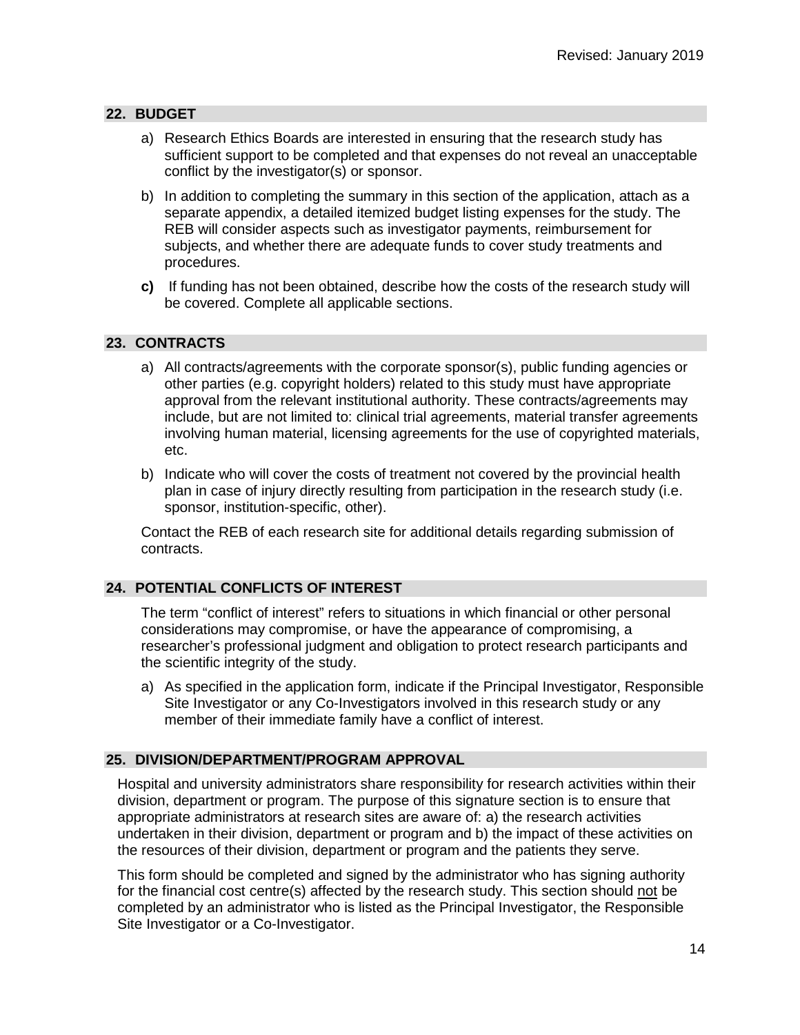# **22. BUDGET**

- a) Research Ethics Boards are interested in ensuring that the research study has sufficient support to be completed and that expenses do not reveal an unacceptable conflict by the investigator(s) or sponsor.
- b) In addition to completing the summary in this section of the application, attach as a separate appendix, a detailed itemized budget listing expenses for the study. The REB will consider aspects such as investigator payments, reimbursement for subjects, and whether there are adequate funds to cover study treatments and procedures.
- **c)** If funding has not been obtained, describe how the costs of the research study will be covered. Complete all applicable sections.

# **23. CONTRACTS**

- a) All contracts/agreements with the corporate sponsor(s), public funding agencies or other parties (e.g. copyright holders) related to this study must have appropriate approval from the relevant institutional authority. These contracts/agreements may include, but are not limited to: clinical trial agreements, material transfer agreements involving human material, licensing agreements for the use of copyrighted materials, etc.
- b) Indicate who will cover the costs of treatment not covered by the provincial health plan in case of injury directly resulting from participation in the research study (i.e. sponsor, institution-specific, other).

Contact the REB of each research site for additional details regarding submission of contracts.

## **24. POTENTIAL CONFLICTS OF INTEREST**

The term "conflict of interest" refers to situations in which financial or other personal considerations may compromise, or have the appearance of compromising, a researcher's professional judgment and obligation to protect research participants and the scientific integrity of the study.

a) As specified in the application form, indicate if the Principal Investigator, Responsible Site Investigator or any Co-Investigators involved in this research study or any member of their immediate family have a conflict of interest.

## **25. DIVISION/DEPARTMENT/PROGRAM APPROVAL**

Hospital and university administrators share responsibility for research activities within their division, department or program. The purpose of this signature section is to ensure that appropriate administrators at research sites are aware of: a) the research activities undertaken in their division, department or program and b) the impact of these activities on the resources of their division, department or program and the patients they serve.

This form should be completed and signed by the administrator who has signing authority for the financial cost centre(s) affected by the research study. This section should not be completed by an administrator who is listed as the Principal Investigator, the Responsible Site Investigator or a Co-Investigator.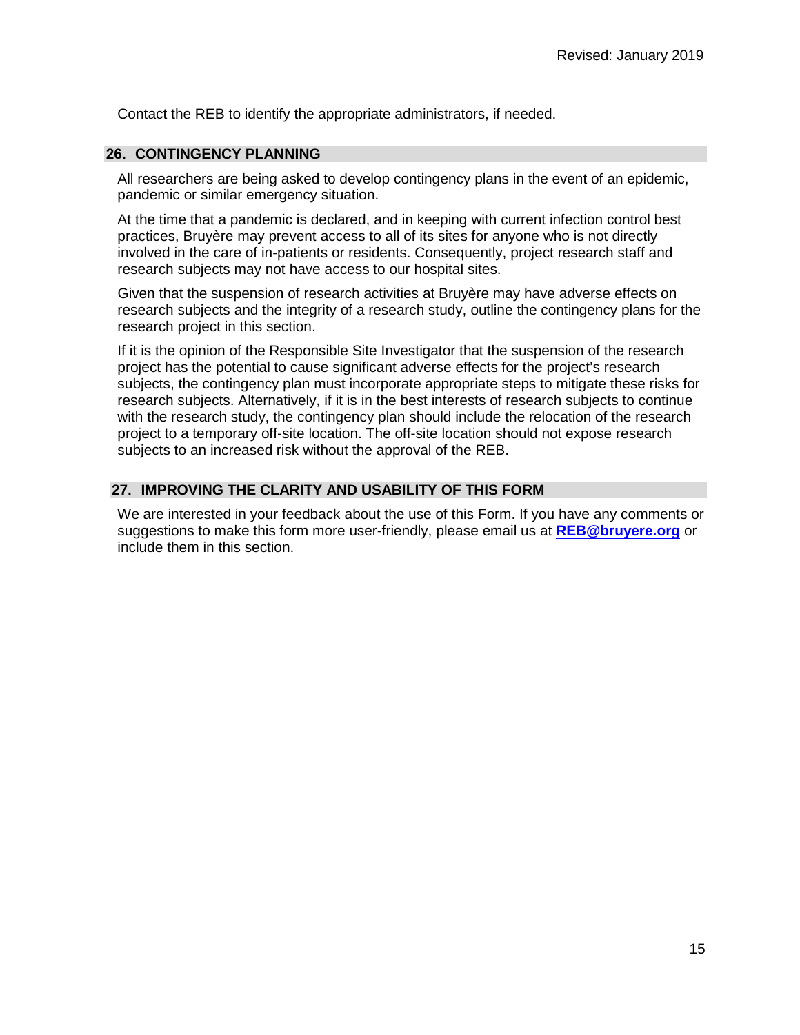Contact the REB to identify the appropriate administrators, if needed.

# **26. CONTINGENCY PLANNING**

All researchers are being asked to develop contingency plans in the event of an epidemic, pandemic or similar emergency situation.

At the time that a pandemic is declared, and in keeping with current infection control best practices, Bruyère may prevent access to all of its sites for anyone who is not directly involved in the care of in-patients or residents. Consequently, project research staff and research subjects may not have access to our hospital sites.

Given that the suspension of research activities at Bruyère may have adverse effects on research subjects and the integrity of a research study, outline the contingency plans for the research project in this section.

If it is the opinion of the Responsible Site Investigator that the suspension of the research project has the potential to cause significant adverse effects for the project's research subjects, the contingency plan must incorporate appropriate steps to mitigate these risks for research subjects. Alternatively, if it is in the best interests of research subjects to continue with the research study, the contingency plan should include the relocation of the research project to a temporary off-site location. The off-site location should not expose research subjects to an increased risk without the approval of the REB.

# **27. IMPROVING THE CLARITY AND USABILITY OF THIS FORM**

We are interested in your feedback about the use of this Form. If you have any comments or suggestions to make this form more user-friendly, please email us at **[REB@bruyere.org](mailto:REB@bruyere.org)** or include them in this section.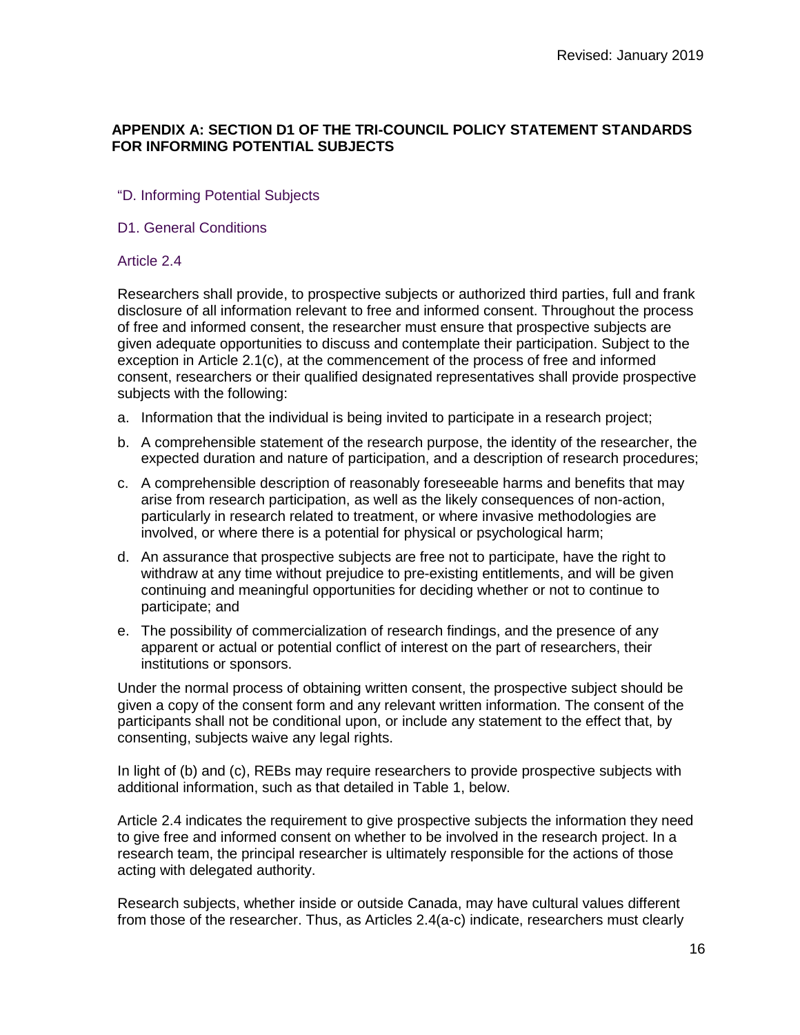# **APPENDIX A: SECTION D1 OF THE TRI-COUNCIL POLICY STATEMENT STANDARDS FOR INFORMING POTENTIAL SUBJECTS**

# "D. Informing Potential Subjects

## D1. General Conditions

## Article 2.4

Researchers shall provide, to prospective subjects or authorized third parties, full and frank disclosure of all information relevant to free and informed consent. Throughout the process of free and informed consent, the researcher must ensure that prospective subjects are given adequate opportunities to discuss and contemplate their participation. Subject to the exception in Article 2.1(c), at the commencement of the process of free and informed consent, researchers or their qualified designated representatives shall provide prospective subjects with the following:

- a. Information that the individual is being invited to participate in a research project;
- b. A comprehensible statement of the research purpose, the identity of the researcher, the expected duration and nature of participation, and a description of research procedures;
- c. A comprehensible description of reasonably foreseeable harms and benefits that may arise from research participation, as well as the likely consequences of non-action, particularly in research related to treatment, or where invasive methodologies are involved, or where there is a potential for physical or psychological harm;
- d. An assurance that prospective subjects are free not to participate, have the right to withdraw at any time without prejudice to pre-existing entitlements, and will be given continuing and meaningful opportunities for deciding whether or not to continue to participate; and
- e. The possibility of commercialization of research findings, and the presence of any apparent or actual or potential conflict of interest on the part of researchers, their institutions or sponsors.

Under the normal process of obtaining written consent, the prospective subject should be given a copy of the consent form and any relevant written information. The consent of the participants shall not be conditional upon, or include any statement to the effect that, by consenting, subjects waive any legal rights.

In light of (b) and (c), REBs may require researchers to provide prospective subjects with additional information, such as that detailed in Table 1, below.

Article 2.4 indicates the requirement to give prospective subjects the information they need to give free and informed consent on whether to be involved in the research project. In a research team, the principal researcher is ultimately responsible for the actions of those acting with delegated authority.

Research subjects, whether inside or outside Canada, may have cultural values different from those of the researcher. Thus, as Articles 2.4(a-c) indicate, researchers must clearly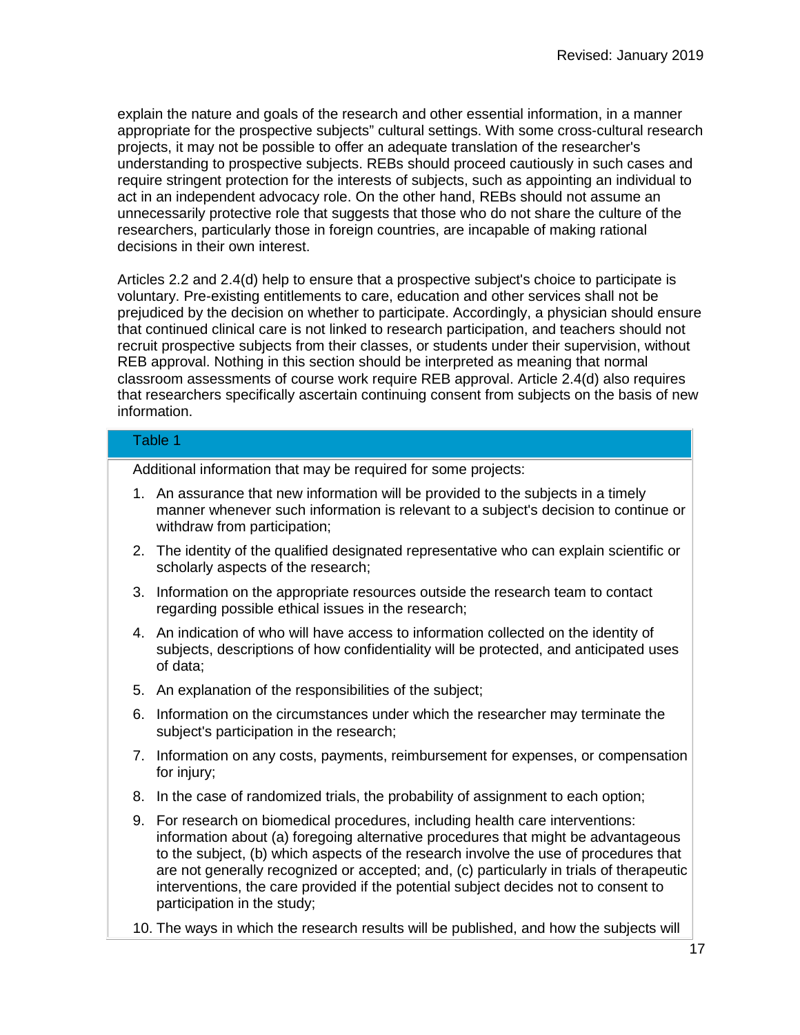explain the nature and goals of the research and other essential information, in a manner appropriate for the prospective subjects" cultural settings. With some cross-cultural research projects, it may not be possible to offer an adequate translation of the researcher's understanding to prospective subjects. REBs should proceed cautiously in such cases and require stringent protection for the interests of subjects, such as appointing an individual to act in an independent advocacy role. On the other hand, REBs should not assume an unnecessarily protective role that suggests that those who do not share the culture of the researchers, particularly those in foreign countries, are incapable of making rational decisions in their own interest.

Articles 2.2 and 2.4(d) help to ensure that a prospective subject's choice to participate is voluntary. Pre-existing entitlements to care, education and other services shall not be prejudiced by the decision on whether to participate. Accordingly, a physician should ensure that continued clinical care is not linked to research participation, and teachers should not recruit prospective subjects from their classes, or students under their supervision, without REB approval. Nothing in this section should be interpreted as meaning that normal classroom assessments of course work require REB approval. Article 2.4(d) also requires that researchers specifically ascertain continuing consent from subjects on the basis of new information.

# Table 1

Additional information that may be required for some projects:

- 1. An assurance that new information will be provided to the subjects in a timely manner whenever such information is relevant to a subject's decision to continue or withdraw from participation;
- 2. The identity of the qualified designated representative who can explain scientific or scholarly aspects of the research;
- 3. Information on the appropriate resources outside the research team to contact regarding possible ethical issues in the research;
- 4. An indication of who will have access to information collected on the identity of subjects, descriptions of how confidentiality will be protected, and anticipated uses of data;
- 5. An explanation of the responsibilities of the subject;
- 6. Information on the circumstances under which the researcher may terminate the subject's participation in the research;
- 7. Information on any costs, payments, reimbursement for expenses, or compensation for injury;
- 8. In the case of randomized trials, the probability of assignment to each option;
- 9. For research on biomedical procedures, including health care interventions: information about (a) foregoing alternative procedures that might be advantageous to the subject, (b) which aspects of the research involve the use of procedures that are not generally recognized or accepted; and, (c) particularly in trials of therapeutic interventions, the care provided if the potential subject decides not to consent to participation in the study;
- 10. The ways in which the research results will be published, and how the subjects will